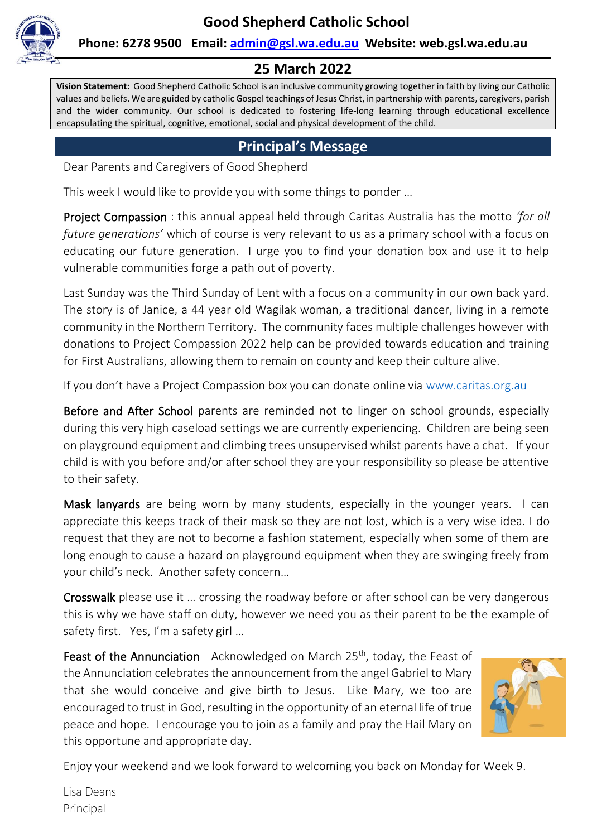

#### **Phone: 6278 9500 Email: [admin@gsl.wa.edu.au](mailto:admin@gsl.wa.edu.au) Website: web.gsl.wa.edu.au**

#### **25 March 2022**

**Vision Statement:** Good Shepherd Catholic School is an inclusive community growing together in faith by living our Catholic values and beliefs. We are guided by catholic Gospel teachings of Jesus Christ, in partnership with parents, caregivers, parish and the wider community. Our school is dedicated to fostering life-long learning through educational excellence encapsulating the spiritual, cognitive, emotional, social and physical development of the child.

#### **Principal's Message**

Dear Parents and Caregivers of Good Shepherd

This week I would like to provide you with some things to ponder …

Project Compassion : this annual appeal held through Caritas Australia has the motto *'for all future generations'* which of course is very relevant to us as a primary school with a focus on educating our future generation. I urge you to find your donation box and use it to help vulnerable communities forge a path out of poverty.

Last Sunday was the Third Sunday of Lent with a focus on a community in our own back yard. The story is of Janice, a 44 year old Wagilak woman, a traditional dancer, living in a remote community in the Northern Territory. The community faces multiple challenges however with donations to Project Compassion 2022 help can be provided towards education and training for First Australians, allowing them to remain on county and keep their culture alive.

If you don't have a Project Compassion box you can donate online via [www.caritas.org.au](http://www.caritas.org.au/)

Before and After School parents are reminded not to linger on school grounds, especially during this very high caseload settings we are currently experiencing. Children are being seen on playground equipment and climbing trees unsupervised whilst parents have a chat. If your child is with you before and/or after school they are your responsibility so please be attentive to their safety.

Mask lanyards are being worn by many students, especially in the younger years. I can appreciate this keeps track of their mask so they are not lost, which is a very wise idea. I do request that they are not to become a fashion statement, especially when some of them are long enough to cause a hazard on playground equipment when they are swinging freely from your child's neck. Another safety concern…

Crosswalk please use it … crossing the roadway before or after school can be very dangerous this is why we have staff on duty, however we need you as their parent to be the example of safety first. Yes, I'm a safety girl ...

**Feast of the Annunciation** Acknowledged on March  $25<sup>th</sup>$ , today, the Feast of the Annunciation celebrates the announcement from the angel Gabriel to Mary that she would conceive and give birth to Jesus. Like Mary, we too are encouraged to trust in God, resulting in the opportunity of an eternal life of true peace and hope. I encourage you to join as a family and pray the Hail Mary on this opportune and appropriate day.



Enjoy your weekend and we look forward to welcoming you back on Monday for Week 9.

Lisa Deans Principal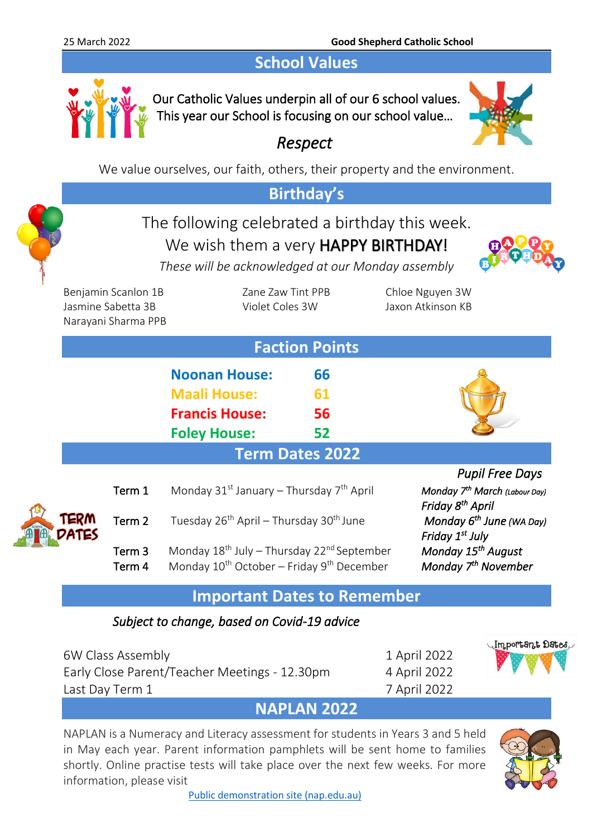### **School Values**



Our Catholic Values underpin all of our 6 school values. This year our School is focusing on our school value…



### *Respect*

We value ourselves, our faith, others, their property and the environment.

#### **Birthday's** The following celebrated a birthday this week. We wish them a very **HAPPY BIRTHDAY!** *These will be acknowledged at our Monday assembly* Benjamin Scanlon 1B Zane Zaw Tint PPB Chloe Nguyen 3W Jasmine Sabetta 3B Violet Coles 3W Jaxon Atkinson KB Narayani Sharma PPB **Faction Points Noonan House: 66 Maali House: 61 Francis House: 56 Foley House: 52 Term Dates 2022** *Pupil Free Days*  Term 1 Monday 31<sup>st</sup> January – Thursday 7<sup>th</sup> April  *March (Labour Day) Friday 8th Friday 8<sup>th</sup> April* Term 2 Tuesday 26<sup>th</sup> April – Thursday 30<sup>th</sup> June *Monday*  $6^{th}$  June (WA Day)  *Friday 1st July*  Term 3 Monday 18<sup>th</sup> July – Thursday 22<sup>nd</sup> September  *August*  Term 4 Monday 10<sup>th</sup> October – Friday 9<sup>th</sup> December *Monday* 7<sup>th</sup> November **Important Dates to Remember**  *Subject to change, based on Covid-19 advice*

6W Class Assembly 1 April 2022 Early Close Parent/Teacher Meetings - 12.30pm 4 April 2022 Last Day Term 1 7 April 2022



### **NAPLAN 2022**

NAPLAN is a Numeracy and Literacy assessment for students in Years 3 and 5 held in May each year. Parent information pamphlets will be sent home to families shortly. Online practise tests will take place over the next few weeks. For more information, please visit



[Public demonstration site \(nap.edu.au\)](https://www.nap.edu.au/online-assessment/public-demonstration-site)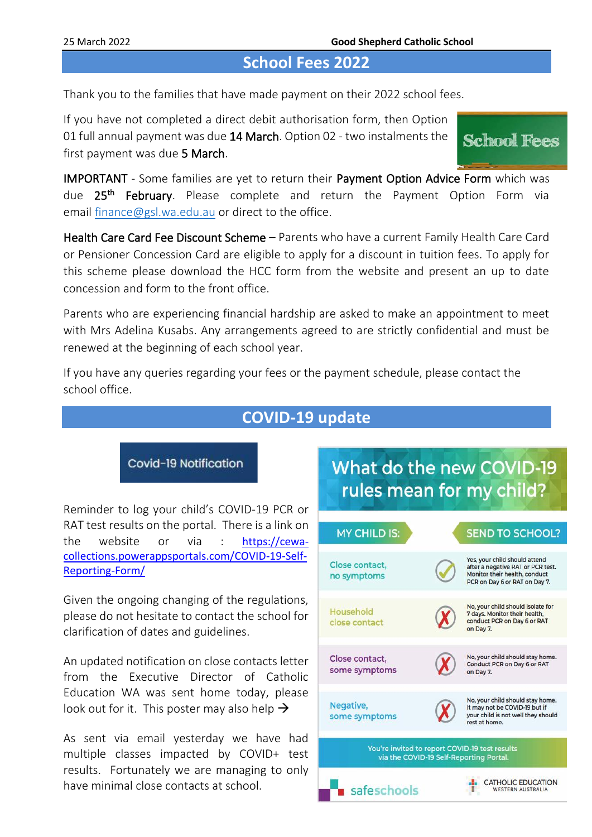#### **School Fees 2022**

Thank you to the families that have made payment on their 2022 school fees.

If you have not completed a direct debit authorisation form, then Option 01 full annual payment was due 14 March. Option 02 - two instalments the first payment was due 5 March.

**School Fees** 

IMPORTANT - Some families are yet to return their Payment Option Advice Form which was due 25<sup>th</sup> February. Please complete and return the Payment Option Form via email [finance@gsl.wa.edu.au](mailto:finance@gsl.wa.edu.au) or direct to the office.

Health Care Card Fee Discount Scheme – Parents who have a current Family Health Care Card or Pensioner Concession Card are eligible to apply for a discount in tuition fees. To apply for this scheme please download the HCC form from the website and present an up to date concession and form to the front office.

Parents who are experiencing financial hardship are asked to make an appointment to meet with Mrs Adelina Kusabs. Any arrangements agreed to are strictly confidential and must be renewed at the beginning of each school year.

If you have any queries regarding your fees or the payment schedule, please contact the school office.

#### **COVID-19 update**

Covid-19 Notification

Reminder to log your child's COVID-19 PCR or RAT test results on the portal. There is a link on the website or via : [https://cewa](https://cewa-collections.powerappsportals.com/COVID-19-Self-Reporting-Form/)[collections.powerappsportals.com/COVID-19-Self-](https://cewa-collections.powerappsportals.com/COVID-19-Self-Reporting-Form/)[Reporting-Form/](https://cewa-collections.powerappsportals.com/COVID-19-Self-Reporting-Form/)

Given the ongoing changing of the regulations, please do not hesitate to contact the school for clarification of dates and guidelines.

An updated notification on close contacts letter from the Executive Director of Catholic Education WA was sent home today, please look out for it. This poster may also help  $\rightarrow$ 

As sent via email yesterday we have had multiple classes impacted by COVID+ test results. Fortunately we are managing to only have minimal close contacts at school.

## What do the new COVID-19 rules mean for my child?

| <b>MY CHILD IS:</b>                            | <b>SEND TO SCHOOL?</b>                                                                                                               |
|------------------------------------------------|--------------------------------------------------------------------------------------------------------------------------------------|
| Close contact.<br>no symptoms                  | Yes, your child should attend<br>after a negative RAT or PCR test.<br>Monitor their health, conduct<br>PCR on Day 6 or RAT on Day 7. |
| Household<br>close contact                     | No, your child should isolate for<br>7 days. Monitor their health,<br>conduct PCR on Day 6 or RAT<br>on Day 7.                       |
| Close contact,<br>some symptoms                | No, your child should stay home.<br>Conduct PCR on Day 6 or RAT<br>on Day 7.                                                         |
| Negative,<br>some symptoms                     | No, your child should stay home.<br>It may not be COVID-19 but if<br>your child is not well they should<br>rest at home.             |
| You're invited to report COVID-19 test results | via the COVID-19 Self-Reporting Portal.                                                                                              |
| safeschools                                    | <b>CATHOLIC EDUCATION</b><br><b>WESTERN AUSTRALIA</b>                                                                                |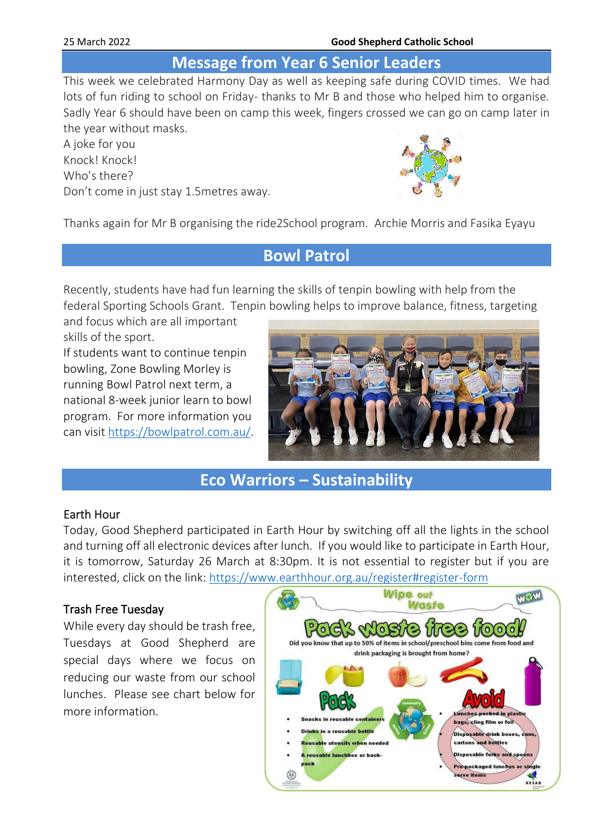#### 25 March 2022 **Good Shepherd Catholic School**

#### **Message from Year 6 Senior Leaders**

This week we celebrated Harmony Day as well as keeping safe during COVID times. We had lots of fun riding to school on Friday- thanks to Mr B and those who helped him to organise. Sadly Year 6 should have been on camp this week, fingers crossed we can go on camp later in the year without masks.

A joke for you Knock! Knock! Who's there? Don't come in just stay 1.5metres away.



Thanks again for Mr B organising the ride2School program. Archie Morris and Fasika Eyayu

#### **Bowl Patrol**

Recently, students have had fun learning the skills of tenpin bowling with help from the federal Sporting Schools Grant. Tenpin bowling helps to improve balance, fitness, targeting

and focus which are all important skills of the sport. If students want to continue tenpin bowling, Zone Bowling Morley is running Bowl Patrol next term, a national 8-week junior learn to bowl program. For more information you can visit [https://bowlpatrol.com.au/.](https://bowlpatrol.com.au/)



#### **Eco Warriors – Sustainability**

#### Earth Hour

Today, Good Shepherd participated in Earth Hour by switching off all the lights in the school and turning off all electronic devices after lunch. If you would like to participate in Earth Hour, it is tomorrow, Saturday 26 March at 8:30pm. It is not essential to register but if you are interested, click on the link:<https://www.earthhour.org.au/register#register-form>

#### Trash Free Tuesday

While every day should be trash free, Tuesdays at Good Shepherd are special days where we focus on reducing our waste from our school lunches. Please see chart below for more information.

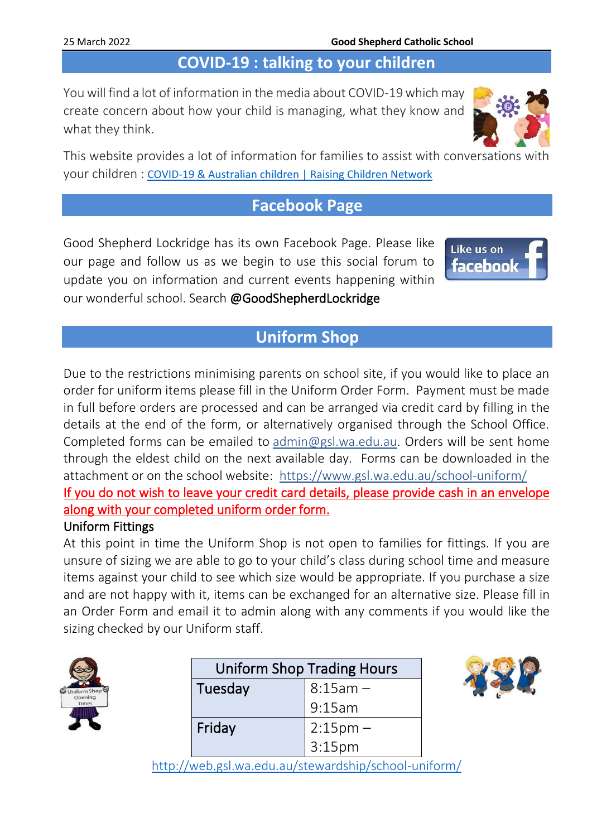## **COVID-19 : talking to your children**

You will find a lot of information in the media about COVID-19 which may create concern about how your child is managing, what they know and what they think.



#### **Facebook Page**

Good Shepherd Lockridge has its own Facebook Page. Please like our page and follow us as we begin to use this social forum to update you on information and current events happening within our wonderful school. Search @GoodShepherdLockridge



#### **Uniform Shop**

Due to the restrictions minimising parents on school site, if you would like to place an order for uniform items please fill in the Uniform Order Form. Payment must be made in full before orders are processed and can be arranged via credit card by filling in the details at the end of the form, or alternatively organised through the School Office. Completed forms can be emailed to [admin@gsl.wa.edu.au.](mailto:admin@gsl.wa.edu.au) Orders will be sent home through the eldest child on the next available day. Forms can be downloaded in the attachment or on the school website: <https://www.gsl.wa.edu.au/school-uniform/> If you do not wish to leave your credit card details, please provide cash in an envelope along with your completed uniform order form.

#### Uniform Fittings

At this point in time the Uniform Shop is not open to families for fittings. If you are unsure of sizing we are able to go to your child's class during school time and measure items against your child to see which size would be appropriate. If you purchase a size and are not happy with it, items can be exchanged for an alternative size. Please fill in an Order Form and email it to admin along with any comments if you would like the sizing checked by our Uniform staff.

| <b>Iniform Shop</b> |
|---------------------|
| Opening             |
| nes                 |
|                     |

| <b>Uniform Shop Trading Hours</b> |                        |  |
|-----------------------------------|------------------------|--|
| Tuesday                           | $8:15am -$             |  |
|                                   | 9:15am                 |  |
| Friday                            |                        |  |
|                                   | $2:15pm -$<br>$3:15pm$ |  |



<http://web.gsl.wa.edu.au/stewardship/school-uniform/>

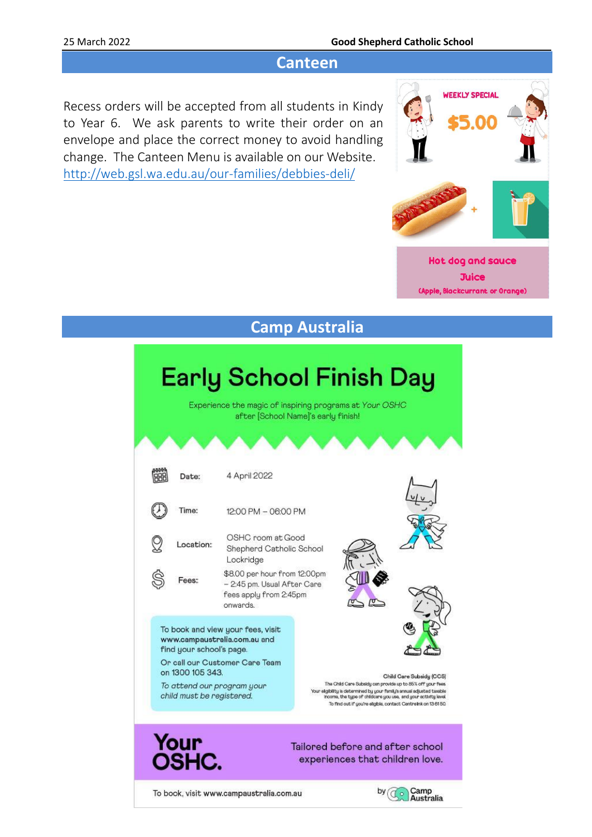#### 25 March 2022 **Good Shepherd Catholic School**

#### **Canteen**

Recess orders will be accepted from all students in Kindy to Year 6. We ask parents to write their order on an envelope and place the correct money to avoid handling change. The Canteen Menu is available on our Website. <http://web.gsl.wa.edu.au/our-families/debbies-deli/>



## **Camp Australia**

# **Early School Finish Day**

Experience the magic of inspiring programs at Your OSHC after [School Name]'s early finish!

|                                                                                                               | Date:         | 4 April 2022                                                                                      |                                                                                                                                                                                                                                                                                                         |                |
|---------------------------------------------------------------------------------------------------------------|---------------|---------------------------------------------------------------------------------------------------|---------------------------------------------------------------------------------------------------------------------------------------------------------------------------------------------------------------------------------------------------------------------------------------------------------|----------------|
|                                                                                                               | Time:         | 12:00 PM - 06:00 PM                                                                               |                                                                                                                                                                                                                                                                                                         |                |
|                                                                                                               | Location:     | OSHC room at Good<br>Shepherd Catholic School<br>Lockridge                                        |                                                                                                                                                                                                                                                                                                         |                |
|                                                                                                               | Fees:         | \$8.00 per hour from 12:00pm<br>- 2:45 pm. Usual After Care<br>fees apply from 2:45pm<br>onwards. |                                                                                                                                                                                                                                                                                                         |                |
| To book and view your fees, visit<br>www.campaustralia.com.au and<br>find your school's page.                 |               |                                                                                                   |                                                                                                                                                                                                                                                                                                         |                |
| Or call our Customer Care Team<br>on 1300 105 343.<br>To attend our program your<br>child must be registered. |               |                                                                                                   | Child Care Subsidy (CCS)<br>The Child Care Subsidy can provide up to 85% off your fees.<br>Your eligibility is determined by your family's annual adjusted taxable<br>income, the type of childcare you use, and your activity level<br>To find out if you're eligible, contact Centrelink on 13 61 50. |                |
|                                                                                                               | Your<br>OSHC. |                                                                                                   | Tailored before and after school<br>experiences that children love.                                                                                                                                                                                                                                     |                |
| To book, visit www.campaustralia.com.au                                                                       |               |                                                                                                   |                                                                                                                                                                                                                                                                                                         | b٧<br>ustralia |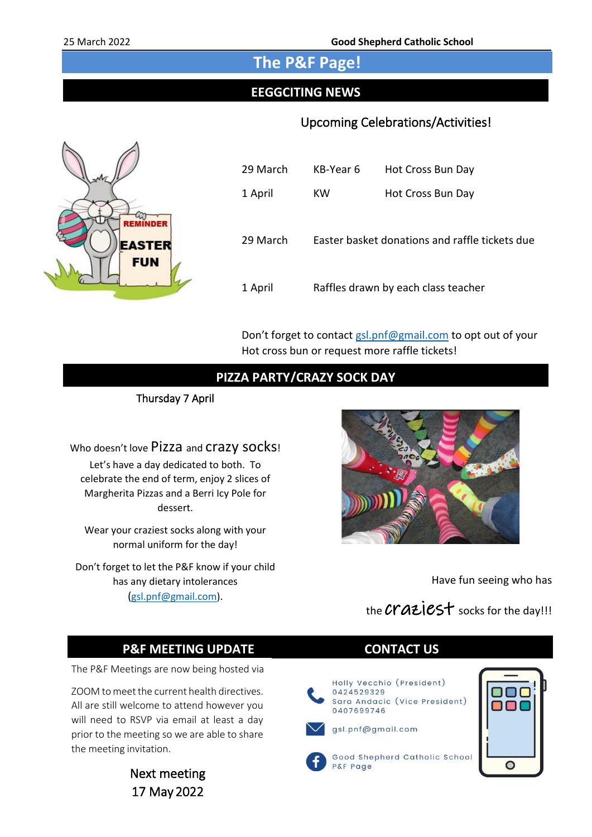#### **The P&F Page!**

#### **EEGGCITING NEWS**

#### Upcoming Celebrations/Activities!



| 29 March | KB-Year 6 | Hot Cross Bun Day                              |
|----------|-----------|------------------------------------------------|
| 1 April  | кw        | Hot Cross Bun Day                              |
| 29 March |           | Easter basket donations and raffle tickets due |
| 1 April  |           | Raffles drawn by each class teacher            |

Don't forget to contact [gsl.pnf@gmail.com](mailto:gsl.pnf@gmail.com) to opt out of your Hot cross bun or request more raffle tickets!

#### **PIZZA PARTY/CRAZY SOCK DAY**

Thursday 7 April

Let's have a day dedicated to both. To celebrate the end of term, enjoy 2 slices of Margherita Pizzas and a Berri Icy Pole for dessert.

Wear your craziest socks along with your normal uniform for the day!

Don't forget to let the P&F know if your child has any dietary intolerances ([gsl.pnf@gmail.com\)](mailto:gsl.pnf@gmail.com).



Have fun seeing who has

the Craziest socks for the day!!!

#### **P&F MEETING UPDATE CONTACT US**

The P&F Meetings are now being hosted via

ZOOM to meet the current health directives. All are still welcome to attend however you will need to RSVP via email at least a day prior to the meeting so we are able to share the meeting invitation.

> Next meeting 17 May 2022



Sara Andacic (Vice President)



Good Shepherd Catholic School P&F Page